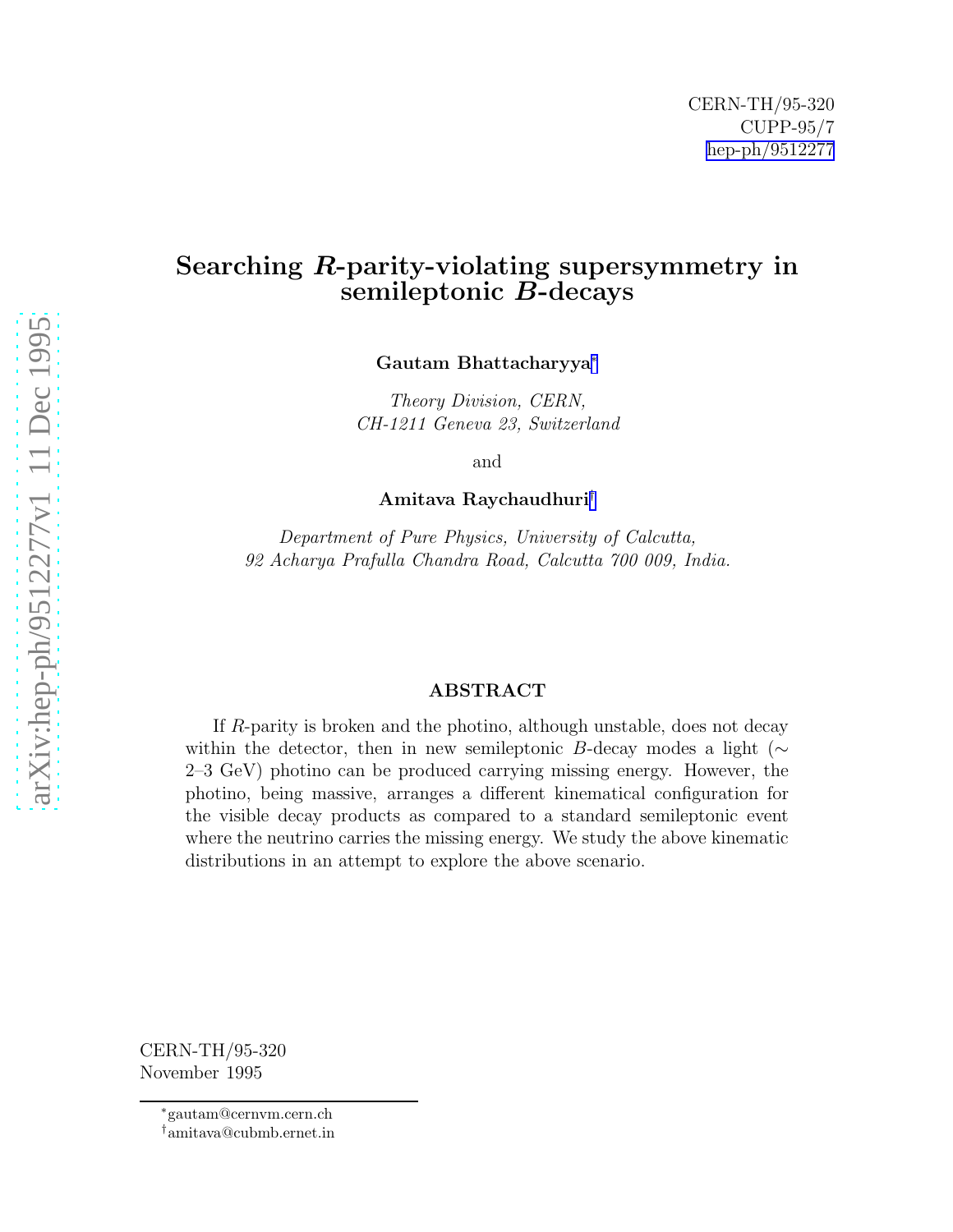## Searching R-parity-violating supersymmetry in semileptonic B-decays

Gautam Bhattacharyya ∗

Theory Division, CERN, CH-1211 Geneva 23, Switzerland

and

Amitava Raychaudhuri †

Department of Pure Physics, University of Calcutta, 92 Acharya Prafulla Chandra Road, Calcutta 700 009, India.

## ABSTRACT

If R-parity is broken and the photino, although unstable, does not decay within the detector, then in new semileptonic B-decay modes a light ( $\sim$ 2–3 GeV) photino can be produced carrying missing energy. However, the photino, being massive, arranges a different kinematical configuration for the visible decay products as compared to a standard semileptonic event where the neutrino carries the missing energy. We study the above kinematic distributions in an attempt to explore the above scenario.

CERN-TH/95-320 November 1995

<sup>∗</sup>gautam@cernvm.cern.ch

<sup>†</sup>amitava@cubmb.ernet.in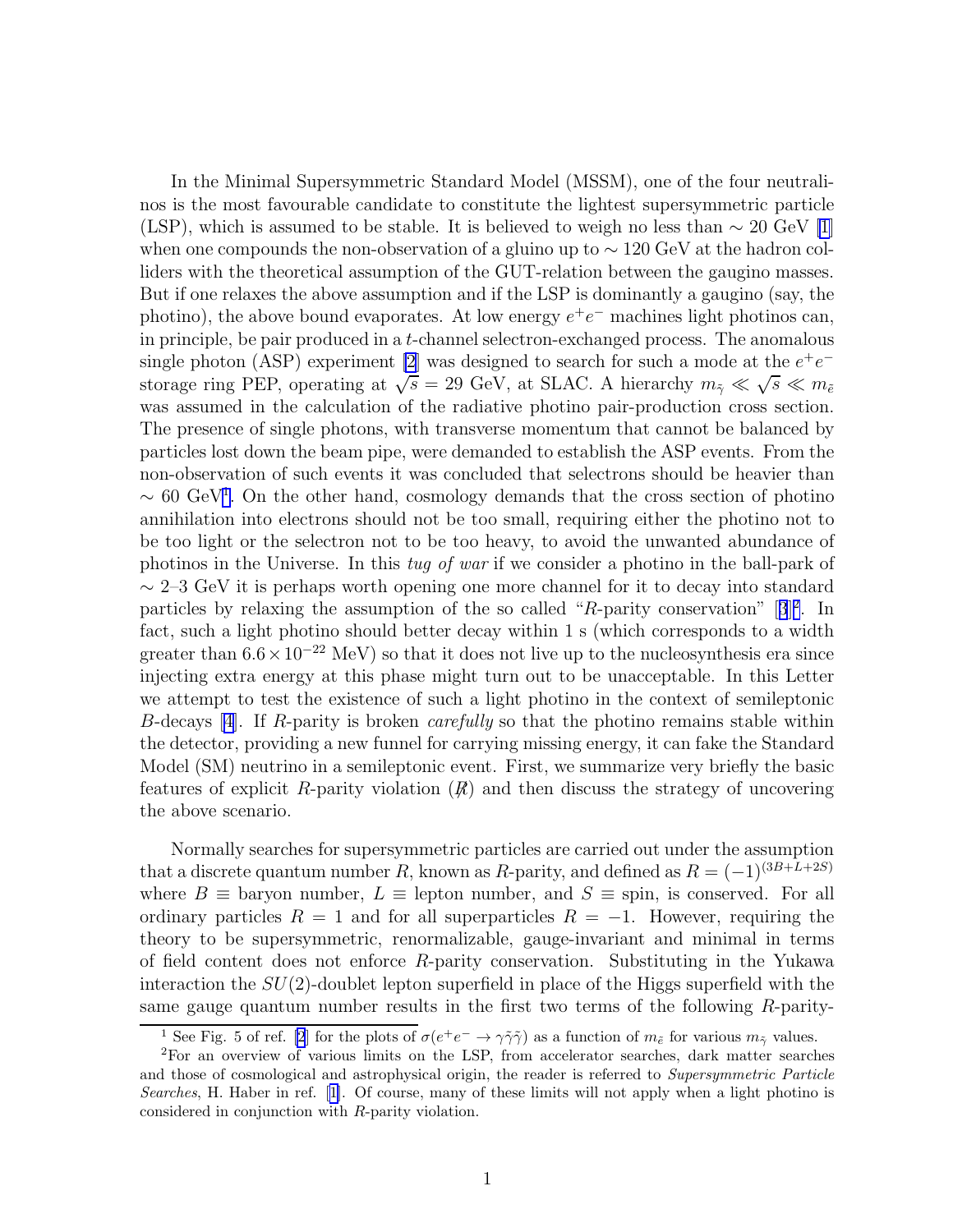In the Minimal Supersymmetric Standard Model (MSSM), one of the four neutralinos is the most favourable candidate to constitute the lightest supersymmetric particle (LSP), which is assumed to be stable. It is believed to weigh no less than  $\sim 20$  GeV [\[1](#page-8-0)] when one compounds the non-observation of a gluino up to  $\sim 120 \text{ GeV}$  at the hadron colliders with the theoretical assumption of the GUT-relation between the gaugino masses. But if one relaxes the above assumption and if the LSP is dominantly a gaugino (say, the photino), the above bound evaporates. At low energy  $e^+e^-$  machines light photinos can, in principle, be pair produced in a  $t$ -channel selectron-exchanged process. The anomalous single photon (ASP) experiment [\[2](#page-8-0)] was designed to search for such a mode at the  $e^+e^$ storage ring PEP, operating at  $\sqrt{s} = 29$  GeV, at SLAC. A hierarchy  $m_{\tilde{z}} \ll \sqrt{s} \ll m_{\tilde{e}}$ was assumed in the calculation of the radiative photino pair-production cross section. The presence of single photons, with transverse momentum that cannot be balanced by particles lost down the beam pipe, were demanded to establish the ASP events. From the non-observation of such events it was concluded that selectrons should be heavier than  $\sim 60 \text{ GeV}^1$ . On the other hand, cosmology demands that the cross section of photino annihilation into electrons should not be too small, requiring either the photino not to be too light or the selectron not to be too heavy, to avoid the unwanted abundance of photinos in the Universe. In this tug of war if we consider a photino in the ball-park of  $\sim$  2–3 GeV it is perhaps worth opening one more channel for it to decay into standard particlesby relaxing the assumption of the so called "R-parity conservation"  $[3]^2$  $[3]^2$  $[3]^2$ . In fact, such a light photino should better decay within 1 s (which corresponds to a width greater than  $6.6 \times 10^{-22}$  MeV) so that it does not live up to the nucleosynthesis era since injecting extra energy at this phase might turn out to be unacceptable. In this Letter we attempt to test the existence of such a light photino in the context of semileptonic B-decays [\[4\]](#page-8-0). If R-parity is broken *carefully* so that the photino remains stable within the detector, providing a new funnel for carrying missing energy, it can fake the Standard Model (SM) neutrino in a semileptonic event. First, we summarize very briefly the basic features of explicit R-parity violation  $(R)$  and then discuss the strategy of uncovering the above scenario.

Normally searches for supersymmetric particles are carried out under the assumption that a discrete quantum number R, known as R-parity, and defined as  $R = (-1)^{(3B+L+2S)}$ where  $B \equiv$  baryon number,  $L \equiv$  lepton number, and  $S \equiv$  spin, is conserved. For all ordinary particles  $R = 1$  and for all superparticles  $R = -1$ . However, requiring the theory to be supersymmetric, renormalizable, gauge-invariant and minimal in terms of field content does not enforce  $R$ -parity conservation. Substituting in the Yukawa interaction the  $SU(2)$ -doublet lepton superfield in place of the Higgs superfield with the same gauge quantum number results in the first two terms of the following R-parity-

<sup>&</sup>lt;sup>1</sup> See Fig. 5 of ref. [\[2](#page-8-0)] for the plots of  $\sigma(e^+e^- \to \gamma\tilde{\gamma}\tilde{\gamma})$  as a function of  $m_{\tilde{e}}$  for various  $m_{\tilde{\gamma}}$  values.

<sup>2</sup>For an overview of various limits on the LSP, from accelerator searches, dark matter searches and those of cosmological and astrophysical origin, the reader is referred to Supersymmetric Particle Searches, H. Haber in ref.[[1\]](#page-8-0). Of course, many of these limits will not apply when a light photino is considered in conjunction with R-parity violation.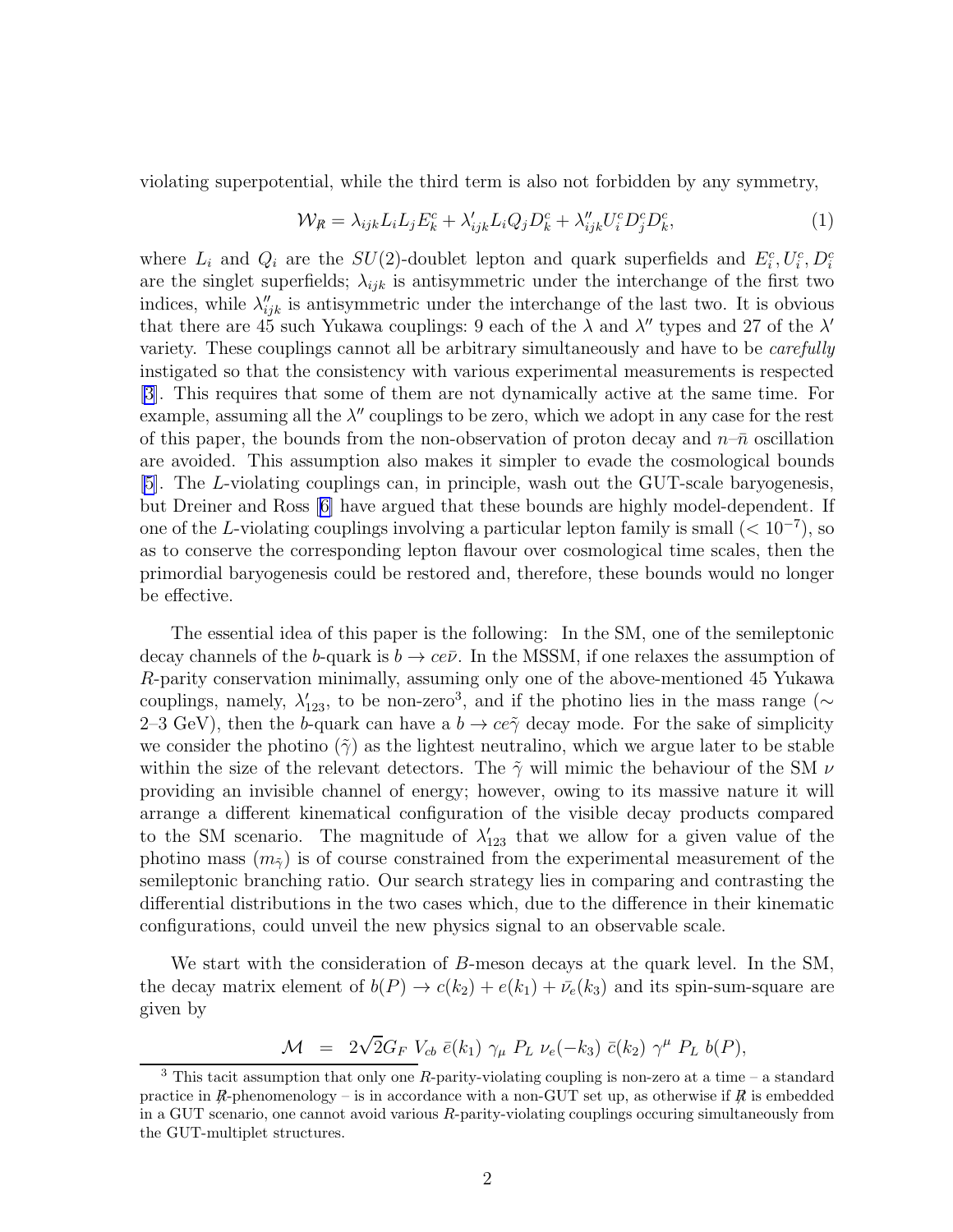violating superpotential, while the third term is also not forbidden by any symmetry,

$$
\mathcal{W}_{\mathcal{R}} = \lambda_{ijk} L_i L_j E_k^c + \lambda'_{ijk} L_i Q_j D_k^c + \lambda''_{ijk} U_i^c D_j^c D_k^c, \tag{1}
$$

where  $L_i$  and  $Q_i$  are the  $SU(2)$ -doublet lepton and quark superfields and  $E_i^c, U_i^c, D_i^c$ are the singlet superfields;  $\lambda_{ijk}$  is antisymmetric under the interchange of the first two indices, while  $\lambda''_{ijk}$  is antisymmetric under the interchange of the last two. It is obvious that there are 45 such Yukawa couplings: 9 each of the  $\lambda$  and  $\lambda''$  types and 27 of the  $\lambda'$ variety. These couplings cannot all be arbitrary simultaneously and have to be *carefully* instigated so that the consistency with various experimental measurements is respected [\[3\]](#page-8-0). This requires that some of them are not dynamically active at the same time. For example, assuming all the  $\lambda''$  couplings to be zero, which we adopt in any case for the rest of this paper, the bounds from the non-observation of proton decay and  $n-\bar{n}$  oscillation are avoided. This assumption also makes it simpler to evade the cosmological bounds [\[5\]](#page-8-0). The L-violating couplings can, in principle, wash out the GUT-scale baryogenesis, but Dreiner and Ross[[6\]](#page-8-0) have argued that these bounds are highly model-dependent. If one of the L-violating couplings involving a particular lepton family is small  $(< 10^{-7}$ ), so as to conserve the corresponding lepton flavour over cosmological time scales, then the primordial baryogenesis could be restored and, therefore, these bounds would no longer be effective.

The essential idea of this paper is the following: In the SM, one of the semileptonic decay channels of the b-quark is  $b \to c e \bar{\nu}$ . In the MSSM, if one relaxes the assumption of R-parity conservation minimally, assuming only one of the above-mentioned 45 Yukawa couplings, namely,  $\lambda'_{123}$ , to be non-zero<sup>3</sup>, and if the photino lies in the mass range (∼ 2–3 GeV), then the b-quark can have a  $b \to c e \tilde{\gamma}$  decay mode. For the sake of simplicity we consider the photino ( $\tilde{\gamma}$ ) as the lightest neutralino, which we argue later to be stable within the size of the relevant detectors. The  $\tilde{\gamma}$  will mimic the behaviour of the SM  $\nu$ providing an invisible channel of energy; however, owing to its massive nature it will arrange a different kinematical configuration of the visible decay products compared to the SM scenario. The magnitude of  $\lambda'_{123}$  that we allow for a given value of the photino mass  $(m_{\tilde{\gamma}})$  is of course constrained from the experimental measurement of the semileptonic branching ratio. Our search strategy lies in comparing and contrasting the differential distributions in the two cases which, due to the difference in their kinematic configurations, could unveil the new physics signal to an observable scale.

We start with the consideration of B-meson decays at the quark level. In the SM, the decay matrix element of  $b(P) \to c(k_2) + e(k_1) + \bar{\nu}_e(k_3)$  and its spin-sum-square are given by

$$
\mathcal{M} = 2\sqrt{2}G_F V_{cb} \bar{e}(k_1) \gamma_\mu P_L \nu_e(-k_3) \bar{c}(k_2) \gamma^\mu P_L b(P),
$$

 $3$  This tacit assumption that only one R-parity-violating coupling is non-zero at a time – a standard practice in  $\mathcal{R}$ -phenomenology – is in accordance with a non-GUT set up, as otherwise if  $\mathcal{R}$  is embedded in a GUT scenario, one cannot avoid various R-parity-violating couplings occuring simultaneously from the GUT-multiplet structures.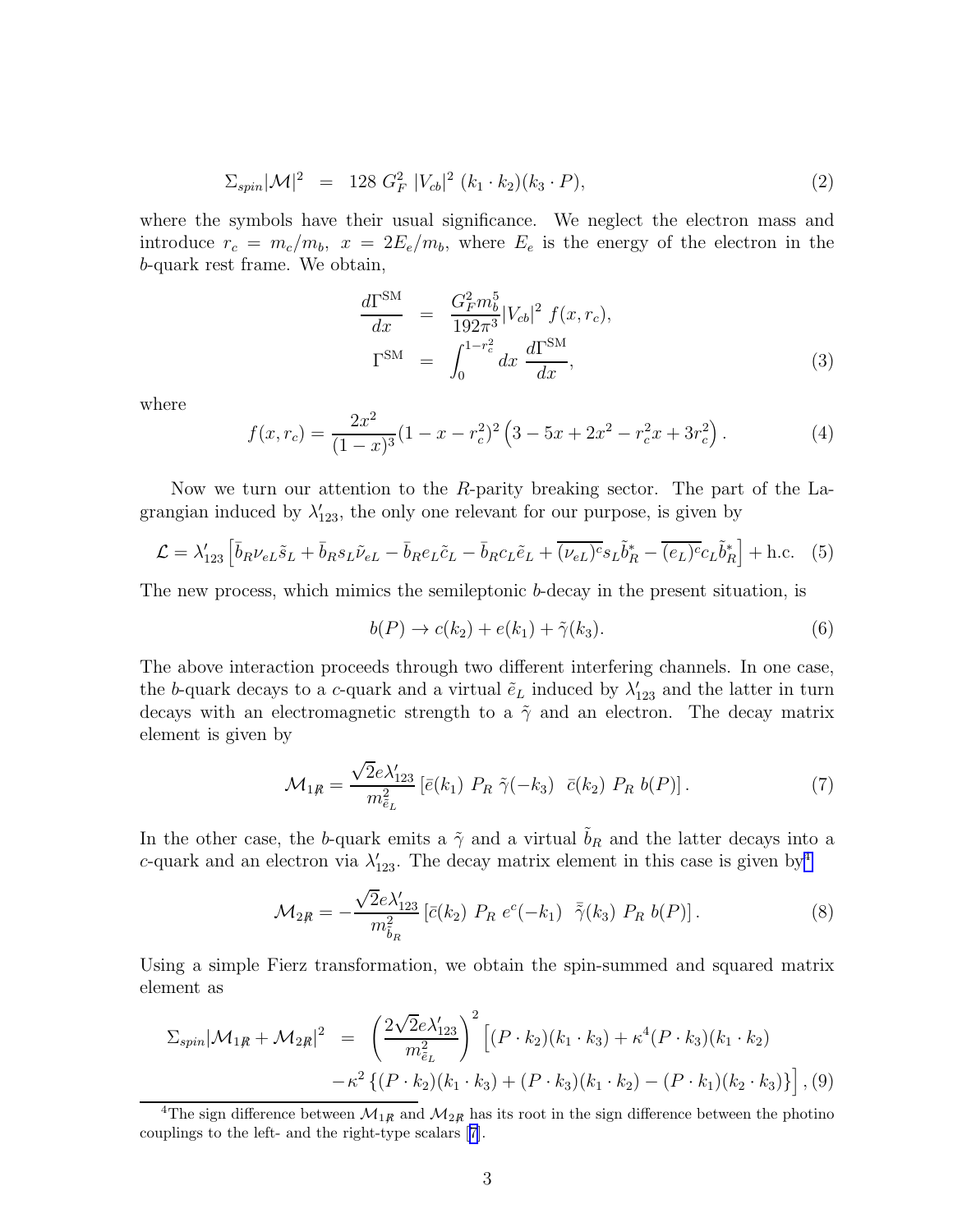$$
\Sigma_{spin}|\mathcal{M}|^2 = 128 G_F^2 |V_{cb}|^2 (k_1 \cdot k_2)(k_3 \cdot P), \tag{2}
$$

where the symbols have their usual significance. We neglect the electron mass and introduce  $r_c = m_c/m_b$ ,  $x = 2E_e/m_b$ , where  $E_e$  is the energy of the electron in the b-quark rest frame. We obtain,

$$
\frac{d\Gamma^{\text{SM}}}{dx} = \frac{G_F^2 m_b^5}{192\pi^3} |V_{cb}|^2 f(x, r_c),
$$
  
\n
$$
\Gamma^{\text{SM}} = \int_0^{1-r_c^2} dx \frac{d\Gamma^{\text{SM}}}{dx},
$$
\n(3)

where

$$
f(x, r_c) = \frac{2x^2}{(1-x)^3} (1-x-r_c^2)^2 \left(3-5x+2x^2-r_c^2x+3r_c^2\right). \tag{4}
$$

Now we turn our attention to the R-parity breaking sector. The part of the Lagrangian induced by  $\lambda'_{123}$ , the only one relevant for our purpose, is given by

$$
\mathcal{L} = \lambda'_{123} \left[ \bar{b}_R \nu_{eL} \tilde{s}_L + \bar{b}_R s_L \tilde{\nu}_{eL} - \bar{b}_R e_L \tilde{c}_L - \bar{b}_R c_L \tilde{e}_L + \overline{(\nu_{eL})^c} s_L \tilde{b}_R^* - \overline{(e_L)^c} c_L \tilde{b}_R^* \right] + \text{h.c.} \tag{5}
$$

The new process, which mimics the semileptonic b-decay in the present situation, is

$$
b(P) \to c(k_2) + e(k_1) + \tilde{\gamma}(k_3). \tag{6}
$$

The above interaction proceeds through two different interfering channels. In one case, the b-quark decays to a c-quark and a virtual  $\tilde{e}_L$  induced by  $\lambda'_{123}$  and the latter in turn decays with an electromagnetic strength to a  $\tilde{\gamma}$  and an electron. The decay matrix element is given by

$$
\mathcal{M}_{1R} = \frac{\sqrt{2}e\lambda'_{123}}{m_{\tilde{e}_L}^2} \left[ \bar{e}(k_1) \ P_R \ \tilde{\gamma}(-k_3) \ \bar{c}(k_2) \ P_R \ b(P) \right]. \tag{7}
$$

In the other case, the b-quark emits a  $\tilde{\gamma}$  and a virtual  $b_R$  and the latter decays into a c-quark and an electron via  $\lambda'_{123}$ . The decay matrix element in this case is given by<sup>4</sup>

$$
\mathcal{M}_{2R} = -\frac{\sqrt{2}e\lambda'_{123}}{m_{\tilde{b}_R}^2} \left[ \bar{c}(k_2) \ P_R \ e^c(-k_1) \ \ \bar{\tilde{\gamma}}(k_3) \ P_R \ b(P) \right]. \tag{8}
$$

Using a simple Fierz transformation, we obtain the spin-summed and squared matrix element as

$$
\Sigma_{spin}|\mathcal{M}_{1R} + \mathcal{M}_{2R}|^2 = \left(\frac{2\sqrt{2}e\lambda'_{123}}{m_{\tilde{e}_L}^2}\right)^2 \left[ (P \cdot k_2)(k_1 \cdot k_3) + \kappa^4 (P \cdot k_3)(k_1 \cdot k_2) -\kappa^2 \left\{ (P \cdot k_2)(k_1 \cdot k_3) + (P \cdot k_3)(k_1 \cdot k_2) - (P \cdot k_1)(k_2 \cdot k_3) \right\} \right], (9)
$$

<sup>&</sup>lt;sup>4</sup>The sign difference between  $\mathcal{M}_{1R}$  and  $\mathcal{M}_{2R}$  has its root in the sign difference between the photino couplings to the left- and the right-type scalars[[7\]](#page-8-0).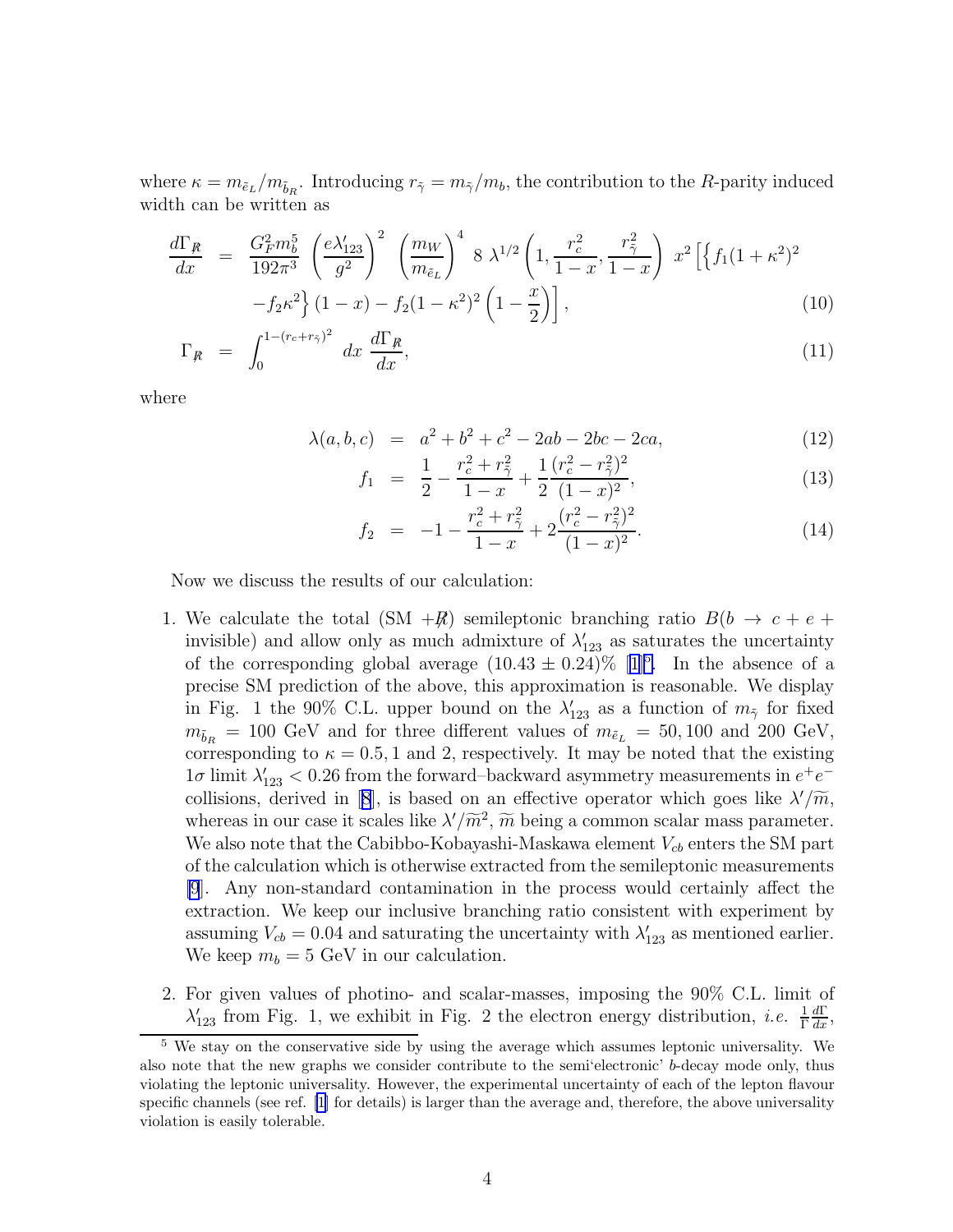where  $\kappa = m_{\tilde{e}_L}/m_{\tilde{b}_R}$ . Introducing  $r_{\tilde{\gamma}} = m_{\tilde{\gamma}}/m_b$ , the contribution to the R-parity induced width can be written as

$$
\frac{d\Gamma_R}{dx} = \frac{G_F^2 m_b^5}{192\pi^3} \left(\frac{e\lambda'_{123}}{g^2}\right)^2 \left(\frac{m_W}{m_{\tilde{e}_L}}\right)^4 8 \lambda^{1/2} \left(1, \frac{r_c^2}{1-x}, \frac{r_{\tilde{\gamma}}^2}{1-x}\right) x^2 \left[\left\{f_1(1+\kappa^2)^2 - f_2\kappa^2\right\}(1-x) - f_2(1-\kappa^2)^2 \left(1-\frac{x}{2}\right)\right],
$$
\n(10)

$$
\Gamma_R = \int_0^{1 - (r_c + r_{\tilde{\gamma}})^2} dx \, \frac{d\Gamma_R}{dx},\tag{11}
$$

where

$$
\lambda(a, b, c) = a^2 + b^2 + c^2 - 2ab - 2bc - 2ca,\tag{12}
$$

$$
f_1 = \frac{1}{2} - \frac{r_c^2 + r_{\tilde{\gamma}}^2}{1 - x} + \frac{1}{2} \frac{(r_c^2 - r_{\tilde{\gamma}}^2)^2}{(1 - x)^2},\tag{13}
$$

$$
f_2 = -1 - \frac{r_c^2 + r_{\tilde{\gamma}}^2}{1 - x} + 2 \frac{(r_c^2 - r_{\tilde{\gamma}}^2)^2}{(1 - x)^2}.
$$
 (14)

Now we discuss the results of our calculation:

- 1. We calculate the total (SM  $+\mathbb{R}$ ) semileptonic branching ratio  $B(b \rightarrow c + e +$ invisible) and allow only as much admixture of  $\lambda'_{123}$  as saturates the uncertainty ofthe corresponding global average  $(10.43 \pm 0.24)\%$  [[1\]](#page-8-0)<sup>5</sup>. In the absence of a precise SM prediction of the above, this approximation is reasonable. We display in Fig. 1 the 90% C.L. upper bound on the  $\lambda'_{123}$  as a function of  $m_{\tilde{\gamma}}$  for fixed  $m_{\tilde{b}_R} = 100$  GeV and for three different values of  $m_{\tilde{e}_L} = 50, 100$  and 200 GeV, corresponding to  $\kappa = 0.5, 1$  and 2, respectively. It may be noted that the existing  $1\sigma$  limit  $\lambda'_{123} < 0.26$  from the forward–backward asymmetry measurements in  $e^+e^-$ collisions,derived in [[8](#page-8-0)], is based on an effective operator which goes like  $\lambda'/\widetilde{m}$ , whereas in our case it scales like  $\lambda'/\widetilde{m}^2$ ,  $\widetilde{m}$  being a common scalar mass parameter. We also note that the Cabibbo-Kobayashi-Maskawa element  $V_{cb}$  enters the SM part of the calculation which is otherwise extracted from the semileptonic measurements [\[9](#page-8-0)]. Any non-standard contamination in the process would certainly affect the extraction. We keep our inclusive branching ratio consistent with experiment by assuming  $V_{cb} = 0.04$  and saturating the uncertainty with  $\lambda'_{123}$  as mentioned earlier. We keep  $m_b = 5$  GeV in our calculation.
- 2. For given values of photino- and scalar-masses, imposing the 90% C.L. limit of  $\lambda'_{123}$  from Fig. 1, we exhibit in Fig. 2 the electron energy distribution, *i.e.*  $\frac{1}{\Gamma}$  $\frac{d\Gamma}{dx}$ ,

<sup>5</sup> We stay on the conservative side by using the average which assumes leptonic universality. We also note that the new graphs we consider contribute to the semi'electronic' b-decay mode only, thus violating the leptonic universality. However, the experimental uncertainty of each of the lepton flavour specific channels (see ref. [\[1](#page-8-0)] for details) is larger than the average and, therefore, the above universality violation is easily tolerable.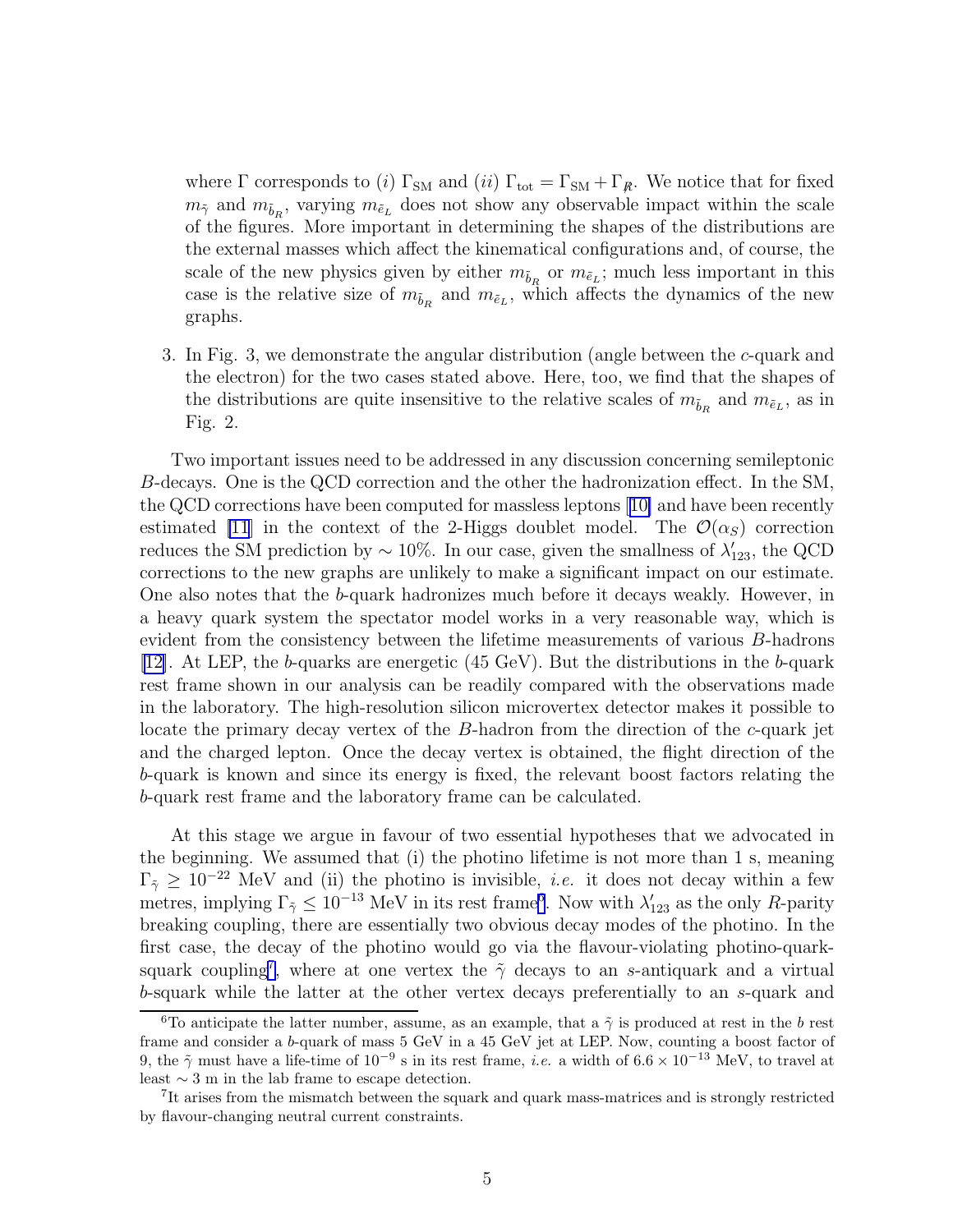where  $\Gamma$  corresponds to (i)  $\Gamma_{SM}$  and (ii)  $\Gamma_{tot} = \Gamma_{SM} + \Gamma_{R}$ . We notice that for fixed  $m_{\tilde{\gamma}}$  and  $m_{\tilde{b}_R}$ , varying  $m_{\tilde{e}_L}$  does not show any observable impact within the scale of the figures. More important in determining the shapes of the distributions are the external masses which affect the kinematical configurations and, of course, the scale of the new physics given by either  $m_{\tilde{b}_R}$  or  $m_{\tilde{e}_L}$ ; much less important in this case is the relative size of  $m_{\tilde{b}_R}$  and  $m_{\tilde{e}_L}$ , which affects the dynamics of the new graphs.

3. In Fig. 3, we demonstrate the angular distribution (angle between the c-quark and the electron) for the two cases stated above. Here, too, we find that the shapes of the distributions are quite insensitive to the relative scales of  $m_{\tilde{b}_R}$  and  $m_{\tilde{e}_L}$ , as in Fig. 2.

Two important issues need to be addressed in any discussion concerning semileptonic B-decays. One is the QCD correction and the other the hadronization effect. In the SM, the QCD corrections have been computed for massless leptons[[10\]](#page-8-0) and have been recently estimated [\[11](#page-8-0)] in the context of the 2-Higgs doublet model. The  $\mathcal{O}(\alpha_S)$  correction reduces the SM prediction by  $\sim 10\%$ . In our case, given the smallness of  $\lambda'_{123}$ , the QCD corrections to the new graphs are unlikely to make a significant impact on our estimate. One also notes that the b-quark hadronizes much before it decays weakly. However, in a heavy quark system the spectator model works in a very reasonable way, which is evident from the consistency between the lifetime measurements of various B-hadrons [\[12\]](#page-8-0). At LEP, the b-quarks are energetic (45 GeV). But the distributions in the b-quark rest frame shown in our analysis can be readily compared with the observations made in the laboratory. The high-resolution silicon microvertex detector makes it possible to locate the primary decay vertex of the B-hadron from the direction of the c-quark jet and the charged lepton. Once the decay vertex is obtained, the flight direction of the b-quark is known and since its energy is fixed, the relevant boost factors relating the b-quark rest frame and the laboratory frame can be calculated.

At this stage we argue in favour of two essential hypotheses that we advocated in the beginning. We assumed that (i) the photino lifetime is not more than 1 s, meaning  $\Gamma_{\tilde{\gamma}} \geq 10^{-22}$  MeV and (ii) the photino is invisible, *i.e.* it does not decay within a few metres, implying  $\Gamma_{\tilde{\gamma}} \leq 10^{-13}$  MeV in its rest frame<sup>6</sup>. Now with  $\lambda'_{123}$  as the only R-parity breaking coupling, there are essentially two obvious decay modes of the photino. In the first case, the decay of the photino would go via the flavour-violating photino-quarksquark coupling<sup>7</sup>, where at one vertex the  $\tilde{\gamma}$  decays to an s-antiquark and a virtual b-squark while the latter at the other vertex decays preferentially to an s-quark and

<sup>&</sup>lt;sup>6</sup>To anticipate the latter number, assume, as an example, that a  $\tilde{\gamma}$  is produced at rest in the b rest frame and consider a b-quark of mass 5 GeV in a 45 GeV jet at LEP. Now, counting a boost factor of 9, the  $\tilde{\gamma}$  must have a life-time of  $10^{-9}$  s in its rest frame, *i.e.* a width of  $6.6 \times 10^{-13}$  MeV, to travel at least  $\sim$  3 m in the lab frame to escape detection.

<sup>&</sup>lt;sup>7</sup>It arises from the mismatch between the squark and quark mass-matrices and is strongly restricted by flavour-changing neutral current constraints.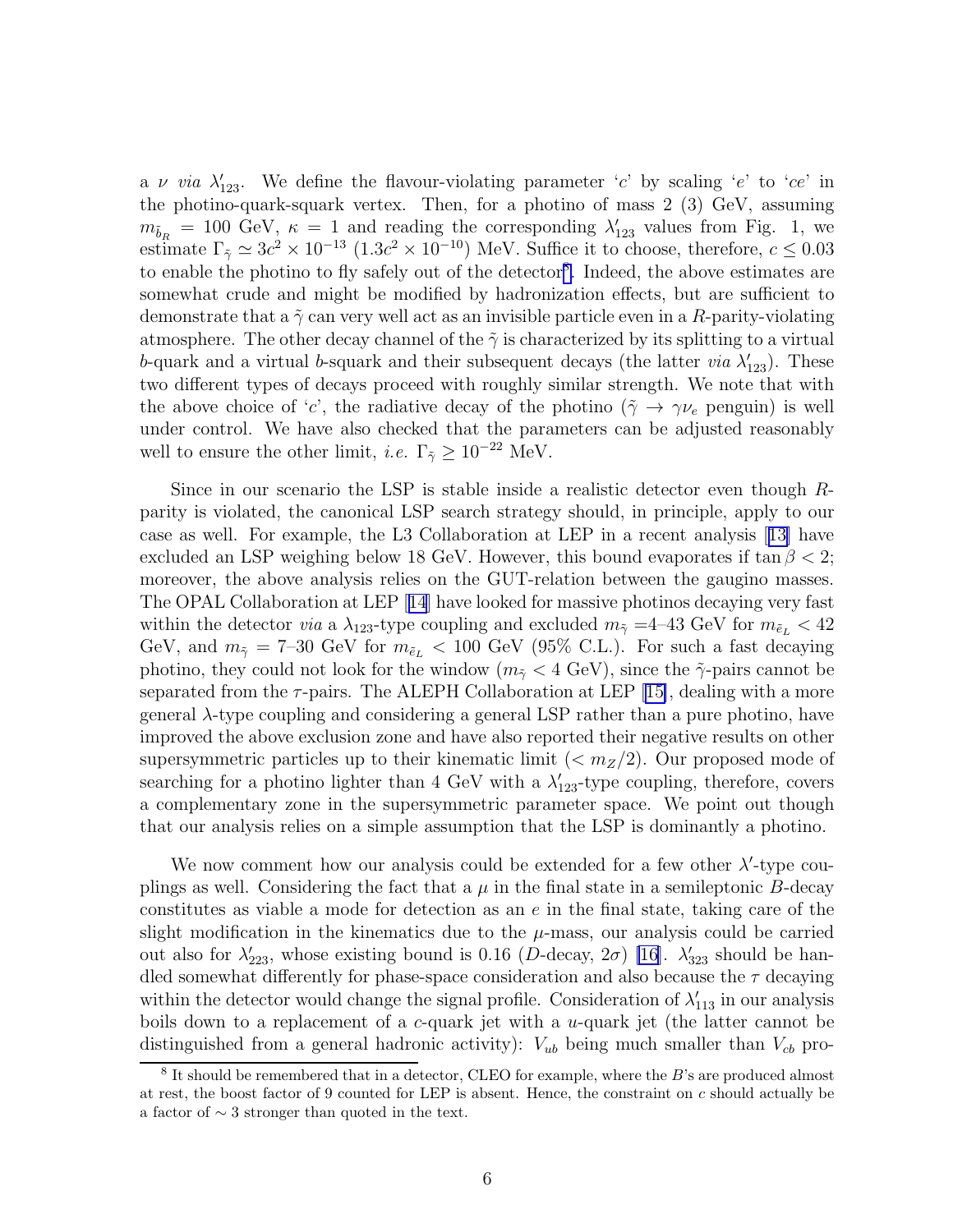a v via  $\lambda'_{123}$ . We define the flavour-violating parameter 'c' by scaling 'e' to 'ce' in the photino-quark-squark vertex. Then, for a photino of mass 2 (3) GeV, assuming  $m_{\tilde{b}_R} = 100 \text{ GeV}, \ \kappa = 1 \text{ and reading the corresponding } \lambda'_{123} \text{ values from Fig. 1, we}$ estimate  $\Gamma_{\tilde{\gamma}} \simeq 3c^2 \times 10^{-13}$   $(1.3c^2 \times 10^{-10})$  MeV. Suffice it to choose, therefore,  $c \le 0.03$ to enable the photino to fly safely out of the detector<sup>8</sup>. Indeed, the above estimates are somewhat crude and might be modified by hadronization effects, but are sufficient to demonstrate that a  $\tilde{\gamma}$  can very well act as an invisible particle even in a R-parity-violating atmosphere. The other decay channel of the  $\tilde{\gamma}$  is characterized by its splitting to a virtual b-quark and a virtual b-squark and their subsequent decays (the latter *via*  $\lambda'_{123}$ ). These two different types of decays proceed with roughly similar strength. We note that with the above choice of 'c', the radiative decay of the photino  $(\tilde{\gamma} \to \gamma \nu_e$  penguin) is well under control. We have also checked that the parameters can be adjusted reasonably well to ensure the other limit, *i.e.*  $\Gamma_{\tilde{\gamma}} \geq 10^{-22}$  MeV.

Since in our scenario the LSP is stable inside a realistic detector even though Rparity is violated, the canonical LSP search strategy should, in principle, apply to our case as well. For example, the L3 Collaboration at LEP in a recent analysis[[13\]](#page-8-0) have excluded an LSP weighing below 18 GeV. However, this bound evaporates if  $\tan \beta < 2$ ; moreover, the above analysis relies on the GUT-relation between the gaugino masses. The OPAL Collaboration at LEP[[14](#page-8-0)] have looked for massive photinos decaying very fast within the detector *via* a  $\lambda_{123}$ -type coupling and excluded  $m_{\tilde{Y}} = 4$ –43 GeV for  $m_{\tilde{e}_L} < 42$ GeV, and  $m_{\tilde{\gamma}} = 7-30$  GeV for  $m_{\tilde{e}_L} < 100$  GeV (95% C.L.). For such a fast decaying photino, they could not look for the window  $(m_{\tilde{\gamma}} < 4 \text{ GeV})$ , since the  $\tilde{\gamma}$ -pairs cannot be separatedfrom the  $\tau$ -pairs. The ALEPH Collaboration at LEP [[15\]](#page-8-0), dealing with a more general  $\lambda$ -type coupling and considering a general LSP rather than a pure photino, have improved the above exclusion zone and have also reported their negative results on other supersymmetric particles up to their kinematic limit  $( $m_Z/2$ ). Our proposed mode of$ searching for a photino lighter than 4 GeV with a  $\lambda'_{123}$ -type coupling, therefore, covers a complementary zone in the supersymmetric parameter space. We point out though that our analysis relies on a simple assumption that the LSP is dominantly a photino.

We now comment how our analysis could be extended for a few other  $\lambda'$ -type couplings as well. Considering the fact that a  $\mu$  in the final state in a semileptonic B-decay constitutes as viable a mode for detection as an e in the final state, taking care of the slight modification in the kinematics due to the  $\mu$ -mass, our analysis could be carried out also for  $\lambda'_{223}$ , whose existing bound is 0.16 (D-decay,  $2\sigma$ ) [\[16\]](#page-8-0).  $\lambda'_{323}$  should be handled somewhat differently for phase-space consideration and also because the  $\tau$  decaying within the detector would change the signal profile. Consideration of  $\lambda'_{113}$  in our analysis boils down to a replacement of a c-quark jet with a  $u$ -quark jet (the latter cannot be distinguished from a general hadronic activity):  $V_{ub}$  being much smaller than  $V_{cb}$  pro-

 $8$  It should be remembered that in a detector, CLEO for example, where the  $B$ 's are produced almost at rest, the boost factor of 9 counted for LEP is absent. Hence, the constraint on  $c$  should actually be a factor of ∼ 3 stronger than quoted in the text.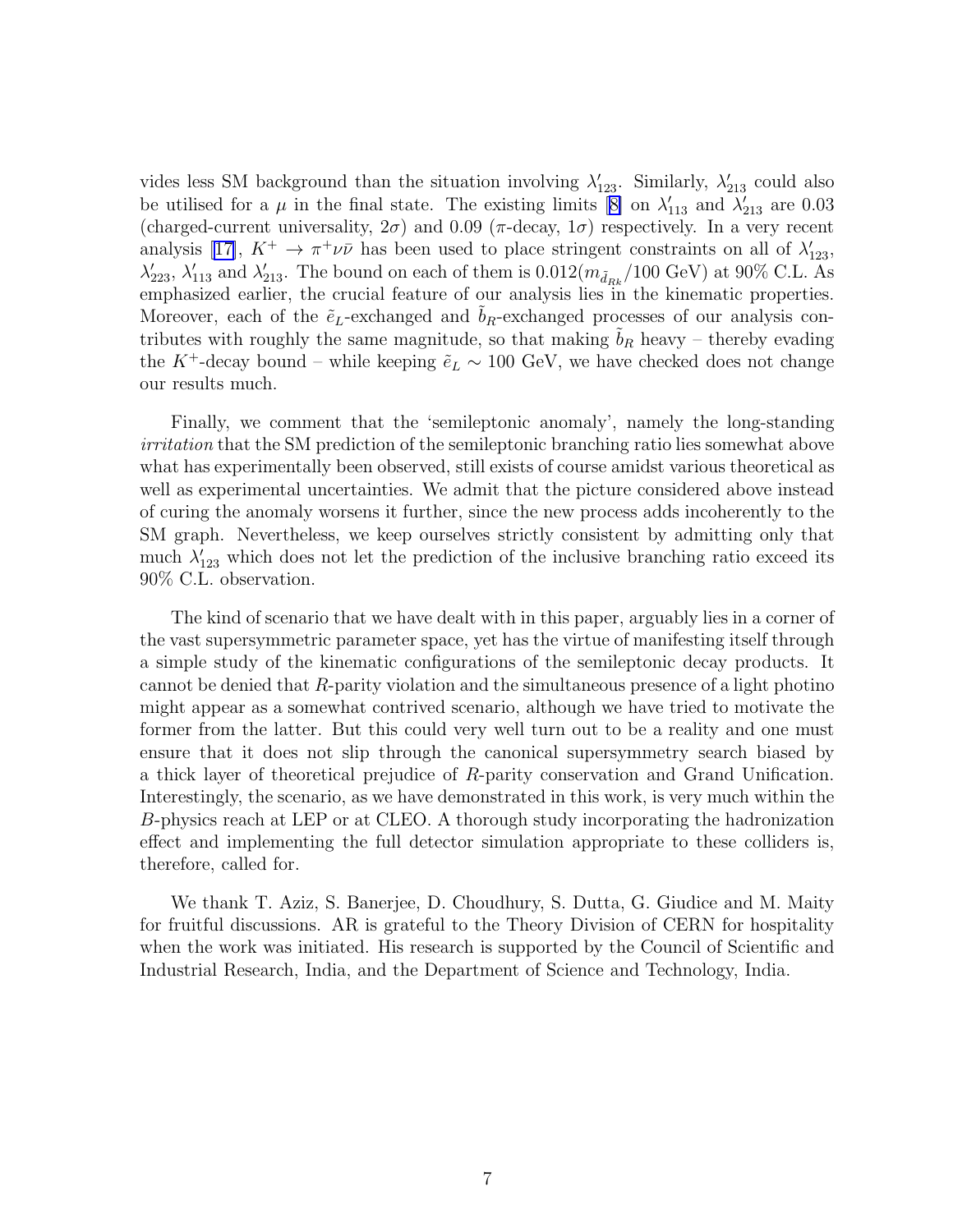vides less SM background than the situation involving  $\lambda'_{123}$ . Similarly,  $\lambda'_{213}$  could also beutilised for a  $\mu$  in the final state. The existing limits [[8\]](#page-8-0) on  $\lambda'_{113}$  and  $\lambda'_{213}$  are 0.03 (charged-current universality,  $2\sigma$ ) and  $0.09$  ( $\pi$ -decay,  $1\sigma$ ) respectively. In a very recent analysis[[17\]](#page-8-0),  $K^+ \to \pi^+ \nu \bar{\nu}$  has been used to place stringent constraints on all of  $\lambda'_{123}$ ,  $\lambda'_{223}$ ,  $\lambda'_{113}$  and  $\lambda'_{213}$ . The bound on each of them is  $0.012(m_{\tilde{d}_{Rk}}/100 \text{ GeV})$  at  $90\%$  C.L. As emphasized earlier, the crucial feature of our analysis lies in the kinematic properties. Moreover, each of the  $\tilde{e}_L$ -exchanged and  $b_R$ -exchanged processes of our analysis contributes with roughly the same magnitude, so that making  $b_R$  heavy – thereby evading the K<sup>+</sup>-decay bound – while keeping  $\tilde{e}_L \sim 100$  GeV, we have checked does not change our results much.

Finally, we comment that the 'semileptonic anomaly', namely the long-standing irritation that the SM prediction of the semileptonic branching ratio lies somewhat above what has experimentally been observed, still exists of course amidst various theoretical as well as experimental uncertainties. We admit that the picture considered above instead of curing the anomaly worsens it further, since the new process adds incoherently to the SM graph. Nevertheless, we keep ourselves strictly consistent by admitting only that much  $\lambda'_{123}$  which does not let the prediction of the inclusive branching ratio exceed its 90% C.L. observation.

The kind of scenario that we have dealt with in this paper, arguably lies in a corner of the vast supersymmetric parameter space, yet has the virtue of manifesting itself through a simple study of the kinematic configurations of the semileptonic decay products. It cannot be denied that  $R$ -parity violation and the simultaneous presence of a light photino might appear as a somewhat contrived scenario, although we have tried to motivate the former from the latter. But this could very well turn out to be a reality and one must ensure that it does not slip through the canonical supersymmetry search biased by a thick layer of theoretical prejudice of R-parity conservation and Grand Unification. Interestingly, the scenario, as we have demonstrated in this work, is very much within the B-physics reach at LEP or at CLEO. A thorough study incorporating the hadronization effect and implementing the full detector simulation appropriate to these colliders is, therefore, called for.

We thank T. Aziz, S. Banerjee, D. Choudhury, S. Dutta, G. Giudice and M. Maity for fruitful discussions. AR is grateful to the Theory Division of CERN for hospitality when the work was initiated. His research is supported by the Council of Scientific and Industrial Research, India, and the Department of Science and Technology, India.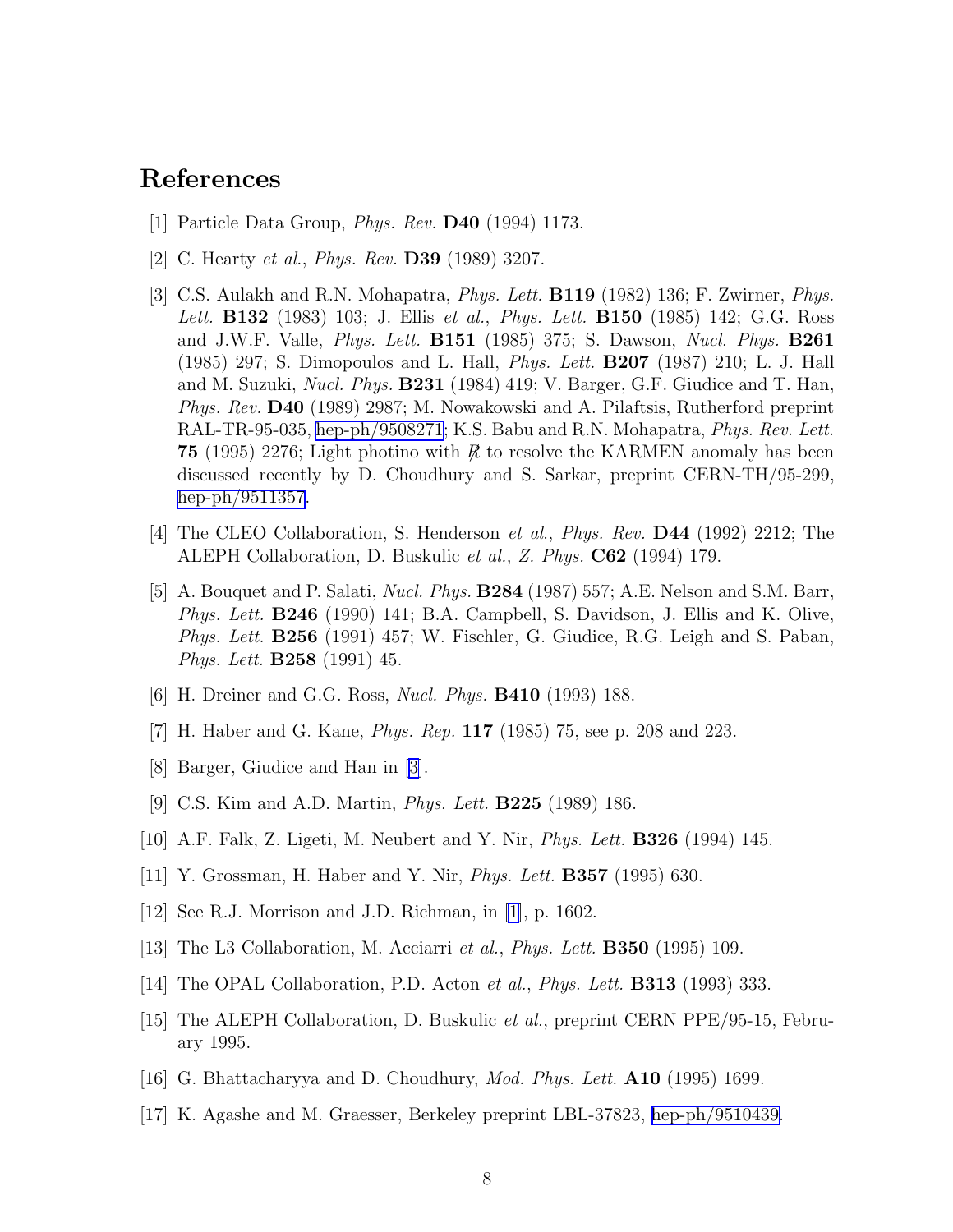## <span id="page-8-0"></span>References

- [1] Particle Data Group, Phys. Rev. D40 (1994) 1173.
- [2] C. Hearty *et al., Phys. Rev.* **D39** (1989) 3207.
- [3] C.S. Aulakh and R.N. Mohapatra, *Phys. Lett.* **B119** (1982) 136; F. Zwirner, *Phys.* Lett. **B132** (1983) 103; J. Ellis et al., *Phys. Lett.* **B150** (1985) 142; G.G. Ross and J.W.F. Valle, Phys. Lett. B151 (1985) 375; S. Dawson, Nucl. Phys. B261 (1985) 297; S. Dimopoulos and L. Hall, Phys. Lett. B207 (1987) 210; L. J. Hall and M. Suzuki, Nucl. Phys. B231 (1984) 419; V. Barger, G.F. Giudice and T. Han, Phys. Rev. D40 (1989) 2987; M. Nowakowski and A. Pilaftsis, Rutherford preprint RAL-TR-95-035, [hep-ph/9508271](http://arxiv.org/abs/hep-ph/9508271); K.S. Babu and R.N. Mohapatra, Phys. Rev. Lett. 75 (1995) 2276; Light photino with  $\vec{R}$  to resolve the KARMEN anomaly has been discussed recently by D. Choudhury and S. Sarkar, preprint CERN-TH/95-299, [hep-ph/9511357](http://arxiv.org/abs/hep-ph/9511357).
- [4] The CLEO Collaboration, S. Henderson *et al., Phys. Rev.* **D44** (1992) 2212; The ALEPH Collaboration, D. Buskulic et al., Z. Phys. C62 (1994) 179.
- [5] A. Bouquet and P. Salati, Nucl. Phys. B284 (1987) 557; A.E. Nelson and S.M. Barr, Phys. Lett. B246 (1990) 141; B.A. Campbell, S. Davidson, J. Ellis and K. Olive, Phys. Lett. B256 (1991) 457; W. Fischler, G. Giudice, R.G. Leigh and S. Paban, Phys. Lett. B258 (1991) 45.
- [6] H. Dreiner and G.G. Ross, *Nucl. Phys.* **B410** (1993) 188.
- [7] H. Haber and G. Kane, *Phys. Rep.* **117** (1985) 75, see p. 208 and 223.
- [8] Barger, Giudice and Han in [3].
- [9] C.S. Kim and A.D. Martin, *Phys. Lett.* **B225** (1989) 186.
- [10] A.F. Falk, Z. Ligeti, M. Neubert and Y. Nir, Phys. Lett. B326 (1994) 145.
- [11] Y. Grossman, H. Haber and Y. Nir, Phys. Lett. B357 (1995) 630.
- [12] See R.J. Morrison and J.D. Richman, in [1], p. 1602.
- [13] The L3 Collaboration, M. Acciarri *et al., Phys. Lett.* **B350** (1995) 109.
- [14] The OPAL Collaboration, P.D. Acton *et al., Phys. Lett.* **B313** (1993) 333.
- [15] The ALEPH Collaboration, D. Buskulic et al., preprint CERN PPE/95-15, February 1995.
- [16] G. Bhattacharyya and D. Choudhury, Mod. Phys. Lett. A10 (1995) 1699.
- [17] K. Agashe and M. Graesser, Berkeley preprint LBL-37823, [hep-ph/9510439.](http://arxiv.org/abs/hep-ph/9510439)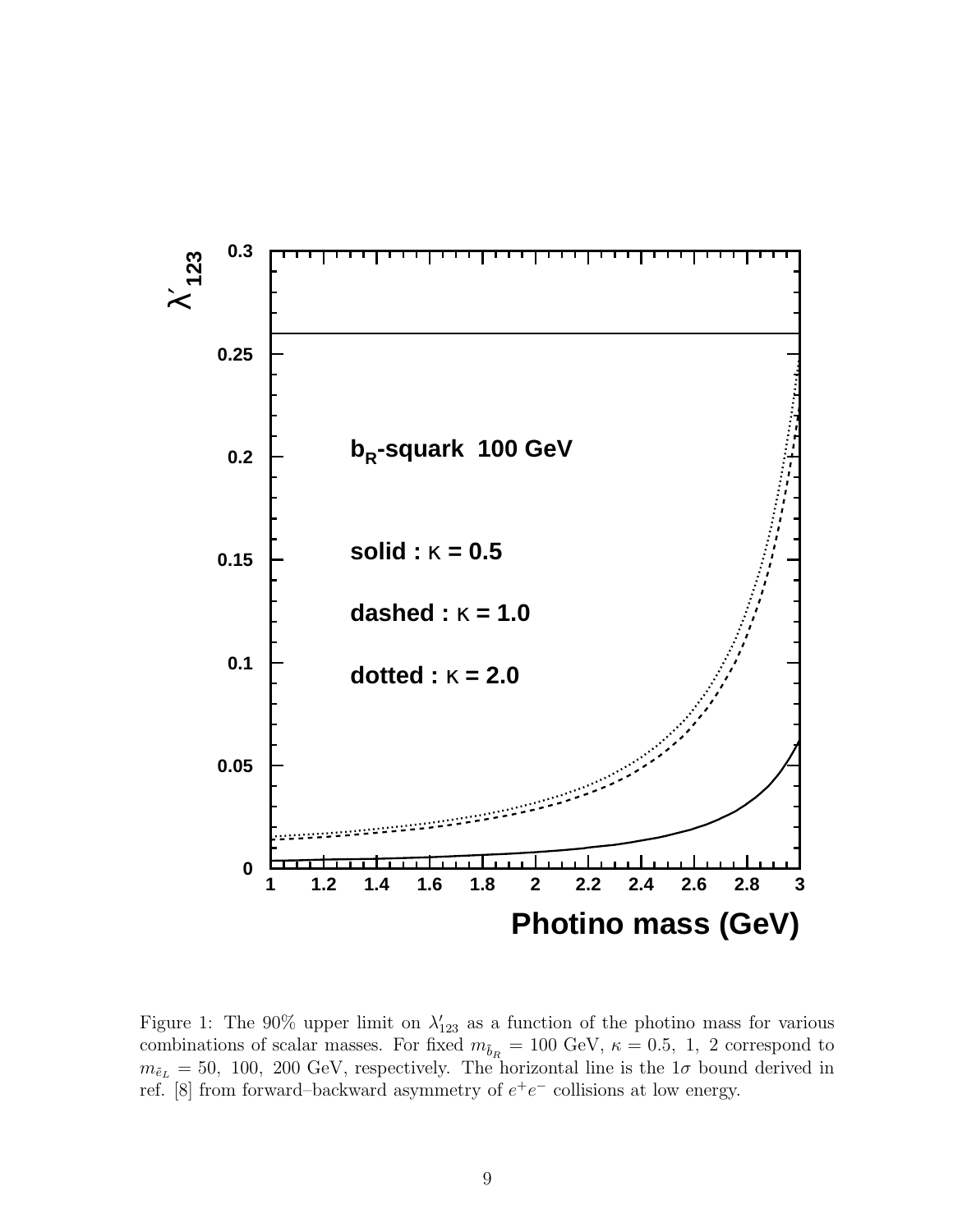

Figure 1: The 90% upper limit on  $\lambda'_{123}$  as a function of the photino mass for various combinations of scalar masses. For fixed  $m_{\tilde{b}_R} = 100 \text{ GeV}, \ \kappa = 0.5, \ 1, \ 2 \text{ correspond to }$  $m_{\tilde{e}_L} = 50$ , 100, 200 GeV, respectively. The horizontal line is the  $1\sigma$  bound derived in ref. [8] from forward–backward asymmetry of  $e^+e^-$  collisions at low energy.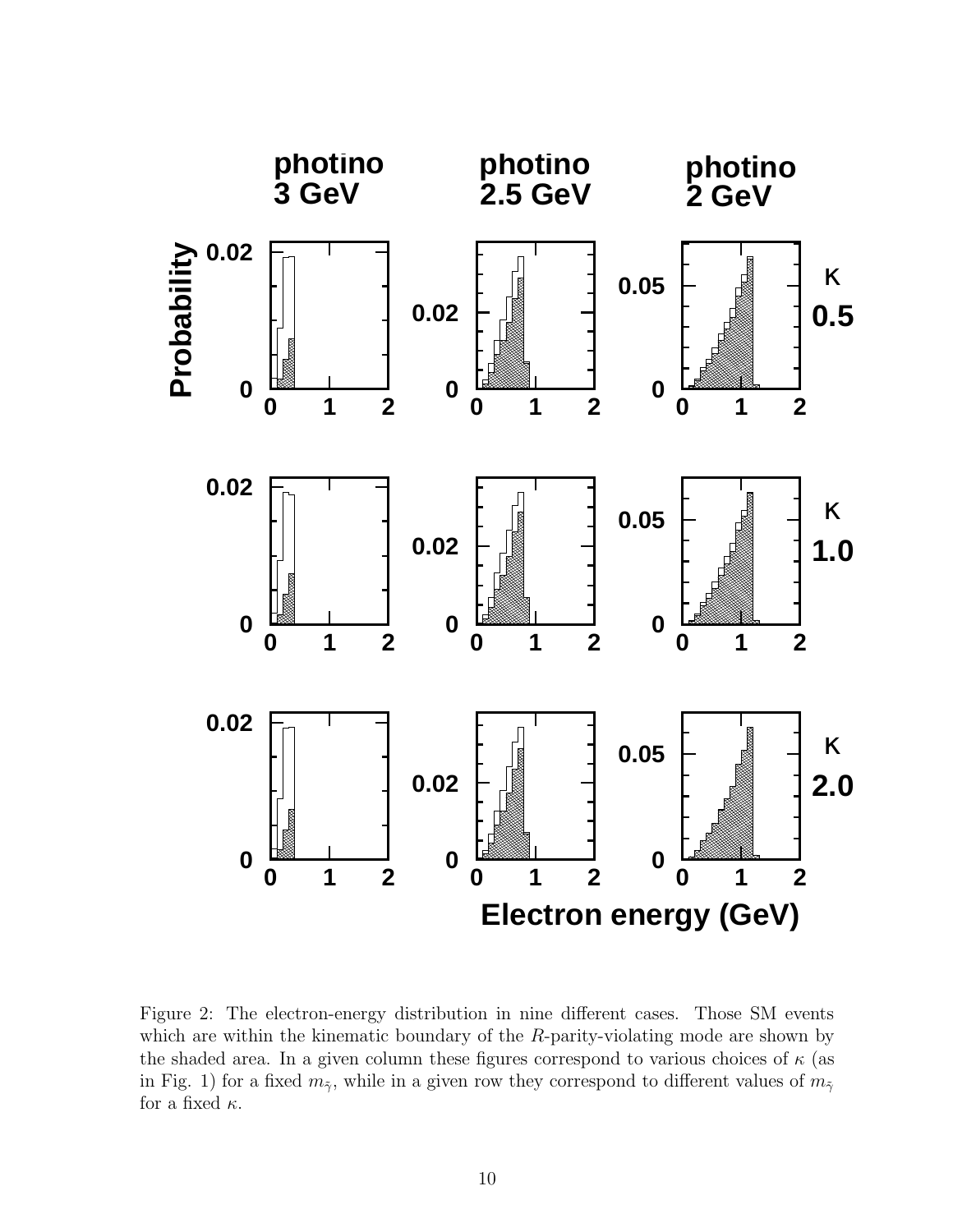

Figure 2: The electron-energy distribution in nine different cases. Those SM events which are within the kinematic boundary of the R-parity-violating mode are shown by the shaded area. In a given column these figures correspond to various choices of  $\kappa$  (as in Fig. 1) for a fixed  $m_{\tilde{\gamma}}$ , while in a given row they correspond to different values of  $m_{\tilde{\gamma}}$ for a fixed  $\kappa$ .